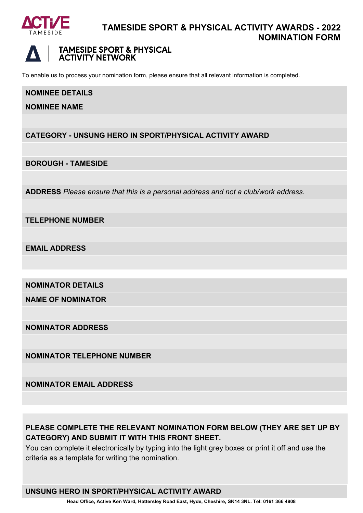



# **TAMESIDE SPORT & PHYSICAL ACTIVITY NETWORK**

To enable us to process your nomination form, please ensure that all relevant information is completed.

#### **NOMINEE DETAILS**

**NOMINEE NAME**

### **CATEGORY - UNSUNG HERO IN SPORT/PHYSICAL ACTIVITY AWARD**

**BOROUGH - TAMESIDE**

**ADDRESS** *Please ensure that this is a personal address and not a club/work address.*

**TELEPHONE NUMBER**

**EMAIL ADDRESS**

**NOMINATOR DETAILS**

**NAME OF NOMINATOR**

**NOMINATOR ADDRESS**

**NOMINATOR TELEPHONE NUMBER**

**NOMINATOR EMAIL ADDRESS**

# **PLEASE COMPLETE THE RELEVANT NOMINATION FORM BELOW (THEY ARE SET UP BY CATEGORY) AND SUBMIT IT WITH THIS FRONT SHEET.**

You can complete it electronically by typing into the light grey boxes or print it off and use the criteria as a template for writing the nomination.

### **UNSUNG HERO IN SPORT/PHYSICAL ACTIVITY AWARD**

**Head Office, Active Ken Ward, Hattersley Road East, Hyde, Cheshire, SK14 3NL. Tel: 0161 366 4808**